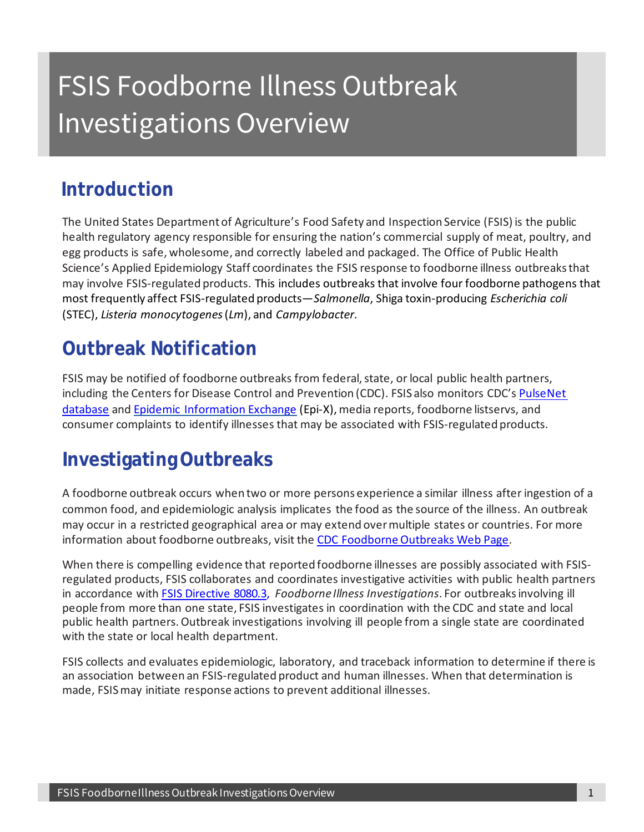# FSIS Foodborne Illness Outbreak Investigations Overview

## **Introduction**

The United States Department of Agriculture's Food Safety and Inspection Service (FSIS) is the public health regulatory agency responsible for ensuring the nation's commercial supply of meat, poultry, and egg products is safe, wholesome, and correctly labeled and packaged. The Office of Public Health Science's Applied Epidemiology Staff coordinates the FSIS response to foodborne illness outbreaks that may involve FSIS-regulated products. This includes outbreaks that involve four foodborne pathogens that most frequently affect FSIS-regulated products—*Salmonella*, Shiga toxin-producing *Escherichia coli*  (STEC), *Listeria monocytogenes* (*Lm*), and *Campylobacter*.

# **Outbreak Notification**

FSIS may be notified of foodborne outbreaks from federal, state, or local public health partners, including the Centers for Disease Control and Prevention (CDC). FSIS also monitors CDC'[s PulseNet](https://www.cdc.gov/pulsenet/index.html)  [database](https://www.cdc.gov/pulsenet/index.html) and [Epidemic Information Exchange](https://www.emergency.cdc.gov/epix/index.asp) (Epi-X), media reports, foodborne listservs, and consumer complaints to identify illnesses that may be associated with FSIS-regulated products.

# **Investigating Outbreaks**

A foodborne outbreak occurs when two or more persons experience a similar illness after ingestion of a common food, and epidemiologic analysis implicates the food as the source of the illness. An outbreak may occur in a restricted geographical area or may extend over multiple states or countries. For more information about foodborne outbreaks, visit the [CDC Foodborne Outbreaks Web Page.](https://www.cdc.gov/foodsafety/outbreaks/index.html)

When there is compelling evidence that reported foodborne illnesses are possibly associated with FSISregulated products, FSIS collaborates and coordinates investigative activities with public health partners in accordance with [FSIS Directive 8080.3,](https://www.fsis.usda.gov/policy/fsis-directives/8080.3) *Foodborne Illness Investigations*. For outbreaks involving ill people from more than one state, FSIS investigates in coordination with the CDC and state and local public health partners. Outbreak investigations involving ill people from a single state are coordinated with the state or local health department.

FSIS collects and evaluates epidemiologic, laboratory, and traceback information to determine if there is an association between an FSIS-regulated product and human illnesses. When that determination is made, FSIS may initiate response actions to prevent additional illnesses.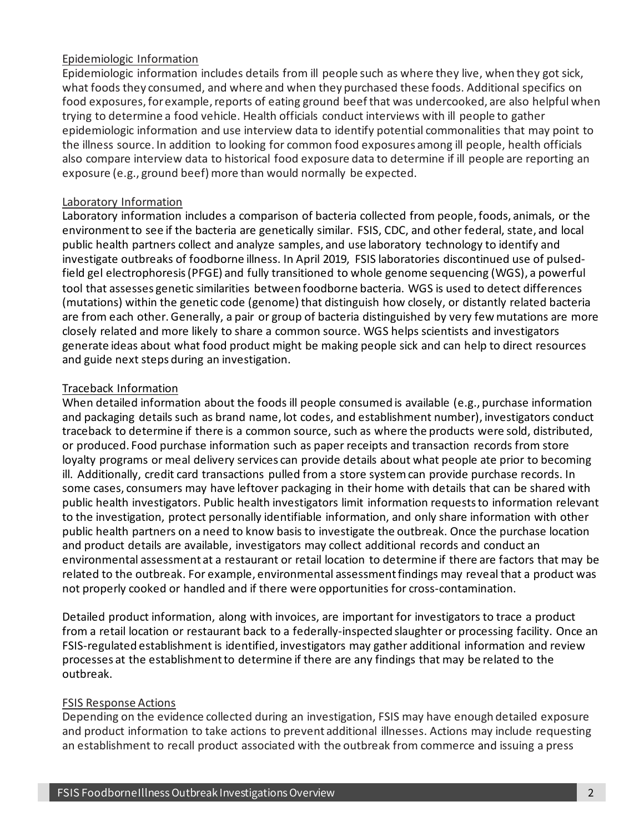#### Epidemiologic Information

Epidemiologic information includes details from ill people such as where they live, when they got sick, what foods they consumed, and where and when they purchased these foods. Additional specifics on food exposures, for example, reports of eating ground beef that was undercooked, are also helpful when trying to determine a food vehicle. Health officials conduct interviews with ill people to gather epidemiologic information and use interview data to identify potential commonalities that may point to the illness source. In addition to looking for common food exposures among ill people, health officials also compare interview data to historical food exposure data to determine if ill people are reporting an exposure (e.g., ground beef) more than would normally be expected.

#### Laboratory Information

Laboratory information includes a comparison of bacteria collected from people, foods, animals, or the environment to see if the bacteria are genetically similar. FSIS, CDC, and other federal, state, and local public health partners collect and analyze samples, and use laboratory technology to identify and investigate outbreaks of foodborne illness. In April 2019, FSIS laboratories discontinued use of pulsedfield gel electrophoresis (PFGE) and fully transitioned to whole genome sequencing (WGS), a powerful tool that assesses genetic similarities between foodborne bacteria. WGS is used to detect differences (mutations) within the genetic code (genome) that distinguish how closely, or distantly related bacteria are from each other. Generally, a pair or group of bacteria distinguished by very few mutations are more closely related and more likely to share a common source. WGS helps scientists and investigators generate ideas about what food product might be making people sick and can help to direct resources and guide next steps during an investigation.

#### Traceback Information

When detailed information about the foods ill people consumed is available (e.g., purchase information and packaging details such as brand name, lot codes, and establishment number), investigators conduct traceback to determine if there is a common source, such as where the products were sold, distributed, or produced. Food purchase information such as paper receipts and transaction records from store loyalty programs or meal delivery services can provide details about what people ate prior to becoming ill. Additionally, credit card transactions pulled from a store system can provide purchase records. In some cases, consumers may have leftover packaging in their home with details that can be shared with public health investigators. Public health investigators limit information requests to information relevant to the investigation, protect personally identifiable information, and only share information with other public health partners on a need to know basis to investigate the outbreak. Once the purchase location and product details are available, investigators may collect additional records and conduct an environmental assessment at a restaurant or retail location to determine if there are factors that may be related to the outbreak. For example, environmental assessment findings may reveal that a product was not properly cooked or handled and if there were opportunities for cross-contamination.

Detailed product information, along with invoices, are important for investigators to trace a product from a retail location or restaurant back to a federally-inspected slaughter or processing facility. Once an FSIS-regulated establishment is identified, investigators may gather additional information and review processes at the establishment to determine if there are any findings that may be related to the outbreak.

#### FSIS Response Actions

Depending on the evidence collected during an investigation, FSIS may have enough detailed exposure and product information to take actions to prevent additional illnesses. Actions may include requesting an establishment to recall product associated with the outbreak from commerce and issuing a press